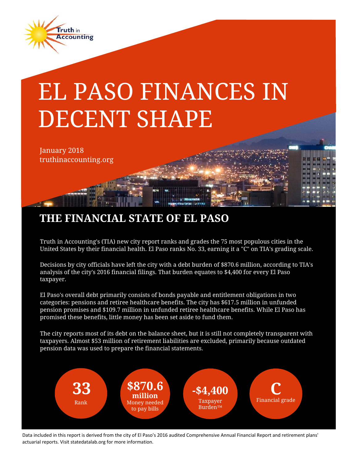

# EL PASO FINANCES IN DECENT SHAPE

January 2018 truthinaccounting.org

## **THE FINANCIAL STATE OF EL PASO**

Truth in Accounting's (TIA) new city report ranks and grades the 75 most populous cities in the United States by their financial health. El Paso ranks No. 33, earning it a "C" on TIA's grading scale.

Decisions by city officials have left the city with a debt burden of \$870.6 million, according to TIA's analysis of the city's 2016 financial filings. That burden equates to \$4,400 for every El Paso taxpayer.

El Paso's overall debt primarily consists of bonds payable and entitlement obligations in two categories: pensions and retiree healthcare benefits. The city has \$617.5 million in unfunded pension promises and \$109.7 million in unfunded retiree healthcare benefits. While El Paso has promised these benefits, little money has been set aside to fund them.

The city reports most of its debt on the balance sheet, but it is still not completely transparent with taxpayers. Almost \$53 million of retirement liabilities are excluded, primarily because outdated pension data was used to prepare the financial statements.



Data included in this report is derived from the city of El Paso's 2016 audited Comprehensive Annual Financial Report and retirement plans' actuarial reports. Visit statedatalab.org for more information.